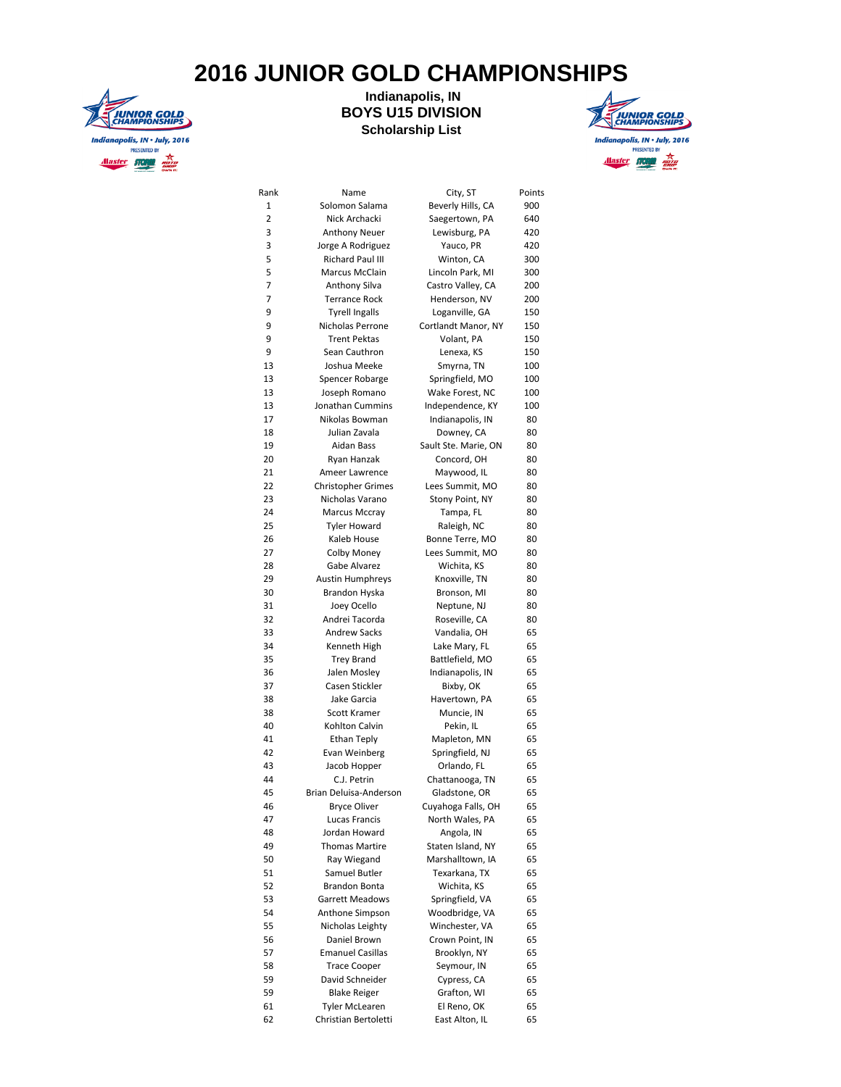## **2016 JUNIOR GOLD CHAMPIONSHIPS**



## **Indianapolis, IN BOYS U15 DIVISION Scholarship List**



| Rank           | Name                      | City, ST             | Points |
|----------------|---------------------------|----------------------|--------|
| $\mathbf 1$    | Solomon Salama            | Beverly Hills, CA    | 900    |
| $\overline{2}$ | Nick Archacki             | Saegertown, PA       | 640    |
| 3              | <b>Anthony Neuer</b>      | Lewisburg, PA        | 420    |
| 3              | Jorge A Rodriguez         | Yauco, PR            | 420    |
| 5              | Richard Paul III          | Winton, CA           | 300    |
| 5              | <b>Marcus McClain</b>     | Lincoln Park, MI     | 300    |
| 7              | Anthony Silva             | Castro Valley, CA    | 200    |
| 7              | <b>Terrance Rock</b>      | Henderson, NV        | 200    |
| 9              | <b>Tyrell Ingalls</b>     | Loganville, GA       | 150    |
| 9              | Nicholas Perrone          | Cortlandt Manor, NY  | 150    |
| 9              | <b>Trent Pektas</b>       | Volant, PA           | 150    |
| 9              | Sean Cauthron             | Lenexa, KS           | 150    |
| 13             | Joshua Meeke              | Smyrna, TN           | 100    |
| 13             | Spencer Robarge           | Springfield, MO      | 100    |
| 13             | Joseph Romano             | Wake Forest, NC      | 100    |
| 13             | Jonathan Cummins          | Independence, KY     | 100    |
| 17             | Nikolas Bowman            | Indianapolis, IN     | 80     |
| 18             | Julian Zavala             | Downey, CA           | 80     |
| 19             | Aidan Bass                | Sault Ste. Marie, ON | 80     |
| 20             | Ryan Hanzak               | Concord, OH          | 80     |
| 21             | Ameer Lawrence            | Maywood, IL          | 80     |
| 22             | <b>Christopher Grimes</b> | Lees Summit, MO      | 80     |
| 23             | Nicholas Varano           | Stony Point, NY      | 80     |
| 24             | Marcus Mccray             | Tampa, FL            | 80     |
| 25             | <b>Tyler Howard</b>       | Raleigh, NC          | 80     |
| 26             | Kaleb House               | Bonne Terre, MO      | 80     |
| 27             | Colby Money               | Lees Summit, MO      | 80     |
| 28             | Gabe Alvarez              | Wichita, KS          | 80     |
| 29             | <b>Austin Humphreys</b>   | Knoxville, TN        | 80     |
| 30             | Brandon Hyska             | Bronson, MI          | 80     |
| 31             | Joey Ocello               | Neptune, NJ          | 80     |
| 32             | Andrei Tacorda            | Roseville, CA        | 80     |
| 33             | <b>Andrew Sacks</b>       | Vandalia, OH         | 65     |
| 34             | Kenneth High              | Lake Mary, FL        | 65     |
| 35             | <b>Trey Brand</b>         | Battlefield, MO      | 65     |
| 36             | Jalen Mosley              | Indianapolis, IN     | 65     |
| 37             | Casen Stickler            | Bixby, OK            | 65     |
| 38             | Jake Garcia               | Havertown, PA        | 65     |
| 38             | Scott Kramer              | Muncie, IN           | 65     |
| 40             | Kohlton Calvin            | Pekin, IL            | 65     |
| 41             | Ethan Teply               |                      | 65     |
| 42             |                           | Mapleton, MN         |        |
|                | Evan Weinberg             | Springfield, NJ      | 65     |
| 43             | Jacob Hopper              | Orlando, FL          | 65     |
| 44             | C.J. Petrin               | Chattanooga, TN      | 65     |
| 45             | Brian Deluisa-Anderson    | Gladstone, OR        | 65     |
| 46             | Bryce Oliver              | Cuyahoga Falls, OH   | 65     |
| 47             | Lucas Francis             | North Wales, PA      | 65     |
| 48             | Jordan Howard             | Angola, IN           | 65     |
| 49             | <b>Thomas Martire</b>     | Staten Island, NY    | 65     |
| 50             | Ray Wiegand               | Marshalltown, IA     | 65     |
| 51             | Samuel Butler             | Texarkana, TX        | 65     |
| 52             | Brandon Bonta             | Wichita, KS          | 65     |
| 53             | Garrett Meadows           | Springfield, VA      | 65     |
| 54             | Anthone Simpson           | Woodbridge, VA       | 65     |
| 55             | Nicholas Leighty          | Winchester, VA       | 65     |
| 56             | Daniel Brown              | Crown Point, IN      | 65     |
| 57             | <b>Emanuel Casillas</b>   | Brooklyn, NY         | 65     |
| 58             | <b>Trace Cooper</b>       | Seymour, IN          | 65     |
| 59             | David Schneider           | Cypress, CA          | 65     |
| 59             | <b>Blake Reiger</b>       | Grafton, WI          | 65     |
| 61             | Tyler McLearen            | El Reno, OK          | 65     |
| 62             | Christian Bertoletti      | East Alton, IL       | 65     |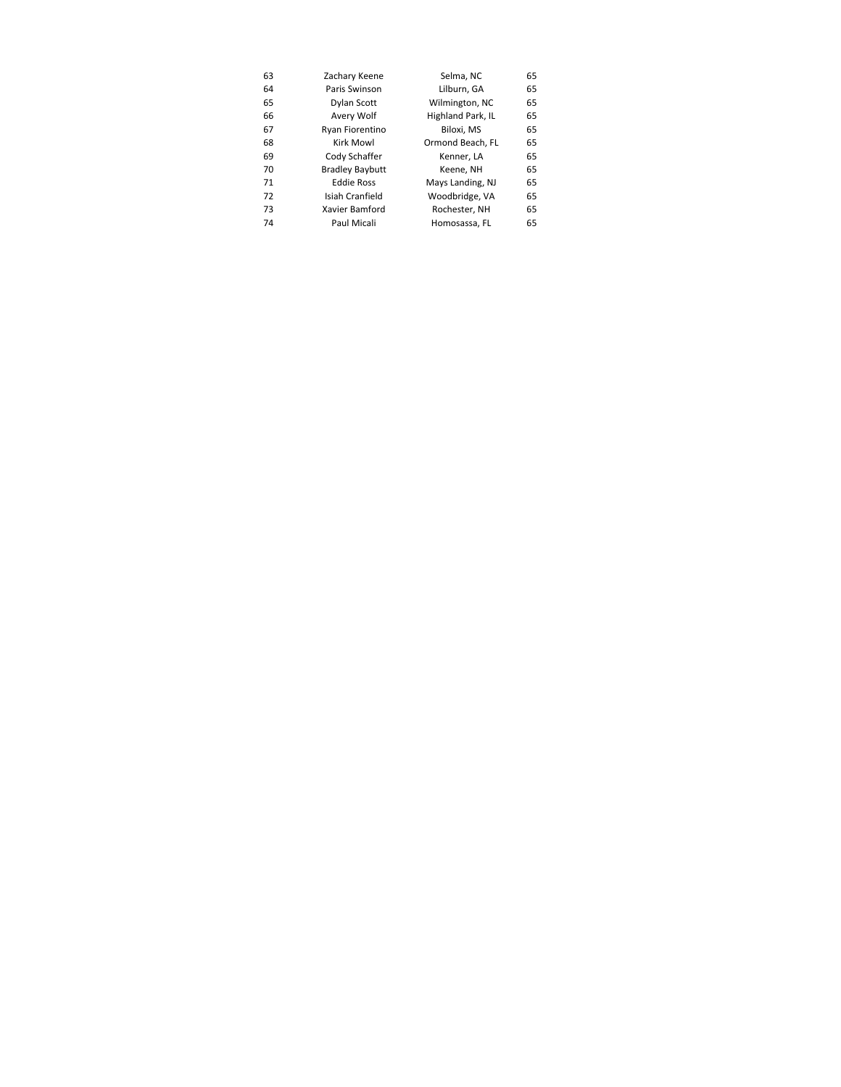| 63 | Zachary Keene          | Selma, NC         | 65 |
|----|------------------------|-------------------|----|
| 64 | Paris Swinson          | Lilburn, GA       | 65 |
| 65 | Dylan Scott            | Wilmington, NC    | 65 |
| 66 | Avery Wolf             | Highland Park, IL | 65 |
| 67 | Ryan Fiorentino        | Biloxi, MS        | 65 |
| 68 | Kirk Mowl              | Ormond Beach, FL  | 65 |
| 69 | Cody Schaffer          | Kenner, LA        | 65 |
| 70 | <b>Bradley Baybutt</b> | Keene, NH         | 65 |
| 71 | <b>Eddie Ross</b>      | Mays Landing, NJ  | 65 |
| 72 | Isiah Cranfield        | Woodbridge, VA    | 65 |
| 73 | Xavier Bamford         | Rochester, NH     | 65 |
| 74 | Paul Micali            | Homosassa. FL     | 65 |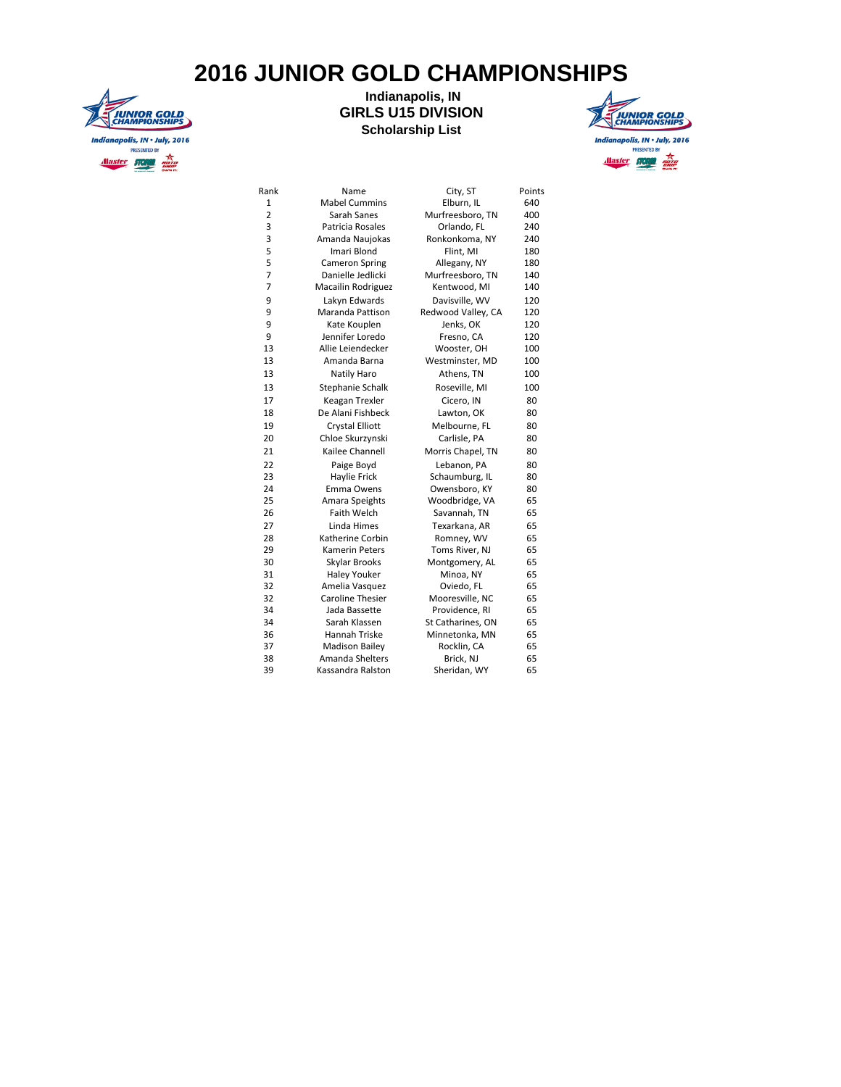## **2016 JUNIOR GOLD CHAMPIONSHIPS**



## **Indianapolis, IN GIRLS U15 DIVISION Scholarship List**



| Rank           | Name                    | City, ST           | Points |
|----------------|-------------------------|--------------------|--------|
| 1              | <b>Mabel Cummins</b>    | Elburn, IL         | 640    |
| 2              | Sarah Sanes             | Murfreesboro, TN   | 400    |
| 3              | Patricia Rosales        | Orlando, FL        | 240    |
| 3              | Amanda Naujokas         | Ronkonkoma, NY     | 240    |
| 5              | Imari Blond             | Flint, MI          | 180    |
| 5              | <b>Cameron Spring</b>   | Allegany, NY       | 180    |
| 7              | Danielle Jedlicki       | Murfreesboro, TN   | 140    |
| $\overline{7}$ | Macailin Rodriguez      | Kentwood, MI       | 140    |
| 9              | Lakyn Edwards           | Davisville, WV     | 120    |
| 9              | Maranda Pattison        | Redwood Valley, CA | 120    |
| 9              | Kate Kouplen            | Jenks, OK          | 120    |
| 9              | Jennifer Loredo         | Fresno, CA         | 120    |
| 13             | Allie Leiendecker       | Wooster, OH        | 100    |
| 13             | Amanda Barna            | Westminster, MD    | 100    |
| 13             | Natily Haro             | Athens, TN         | 100    |
| 13             | Stephanie Schalk        | Roseville, MI      | 100    |
| 17             | Keagan Trexler          | Cicero, IN         | 80     |
| 18             | De Alani Fishbeck       | Lawton, OK         | 80     |
| 19             | <b>Crystal Elliott</b>  | Melbourne, FL      | 80     |
| 20             | Chloe Skurzynski        | Carlisle, PA       | 80     |
| 21             | Kailee Channell         | Morris Chapel, TN  | 80     |
| 22             | Paige Boyd              | Lebanon, PA        | 80     |
| 23             | Haylie Frick            | Schaumburg, IL     | 80     |
| 24             | Emma Owens              | Owensboro, KY      | 80     |
| 25             | Amara Speights          | Woodbridge, VA     | 65     |
| 26             | Faith Welch             | Savannah, TN       | 65     |
| 27             | Linda Himes             | Texarkana, AR      | 65     |
| 28             | Katherine Corbin        | Romney, WV         | 65     |
| 29             | Kamerin Peters          | Toms River, NJ     | 65     |
| 30             | Skylar Brooks           | Montgomery, AL     | 65     |
| 31             | <b>Haley Youker</b>     | Minoa, NY          | 65     |
| 32             | Amelia Vasquez          | Oviedo, FL         | 65     |
| 32             | <b>Caroline Thesier</b> | Mooresville, NC    | 65     |
| 34             | Jada Bassette           | Providence, RI     | 65     |
| 34             | Sarah Klassen           | St Catharines, ON  | 65     |
| 36             | Hannah Triske           | Minnetonka, MN     | 65     |
| 37             | <b>Madison Bailey</b>   | Rocklin, CA        | 65     |
| 38             | Amanda Shelters         | Brick, NJ          | 65     |
| 39             | Kassandra Ralston       | Sheridan, WY       | 65     |